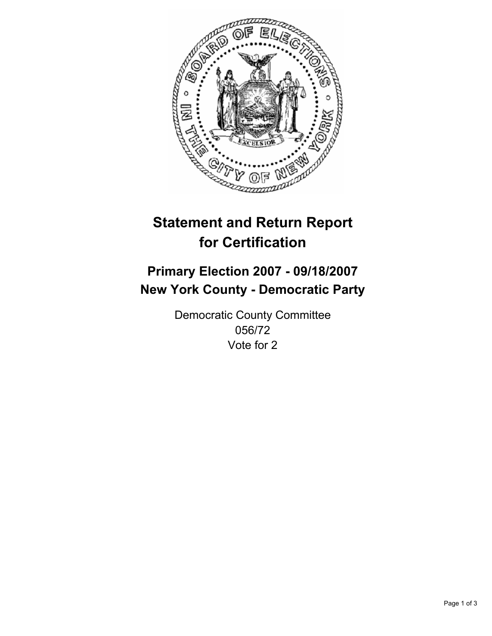

# **Statement and Return Report for Certification**

## **Primary Election 2007 - 09/18/2007 New York County - Democratic Party**

Democratic County Committee 056/72 Vote for 2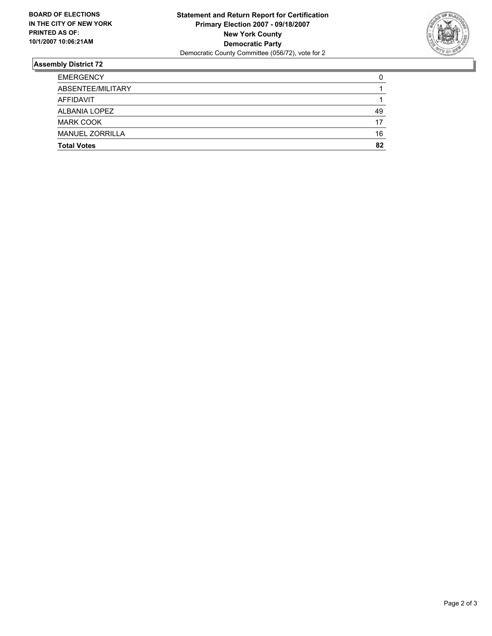

### **Assembly District 72**

| <b>Total Votes</b>     | 82 |
|------------------------|----|
| <b>MANUEL ZORRILLA</b> | 16 |
| <b>MARK COOK</b>       | 17 |
| ALBANIA LOPEZ          | 49 |
| AFFIDAVIT              |    |
| ABSENTEE/MILITARY      |    |
| <b>EMERGENCY</b>       |    |